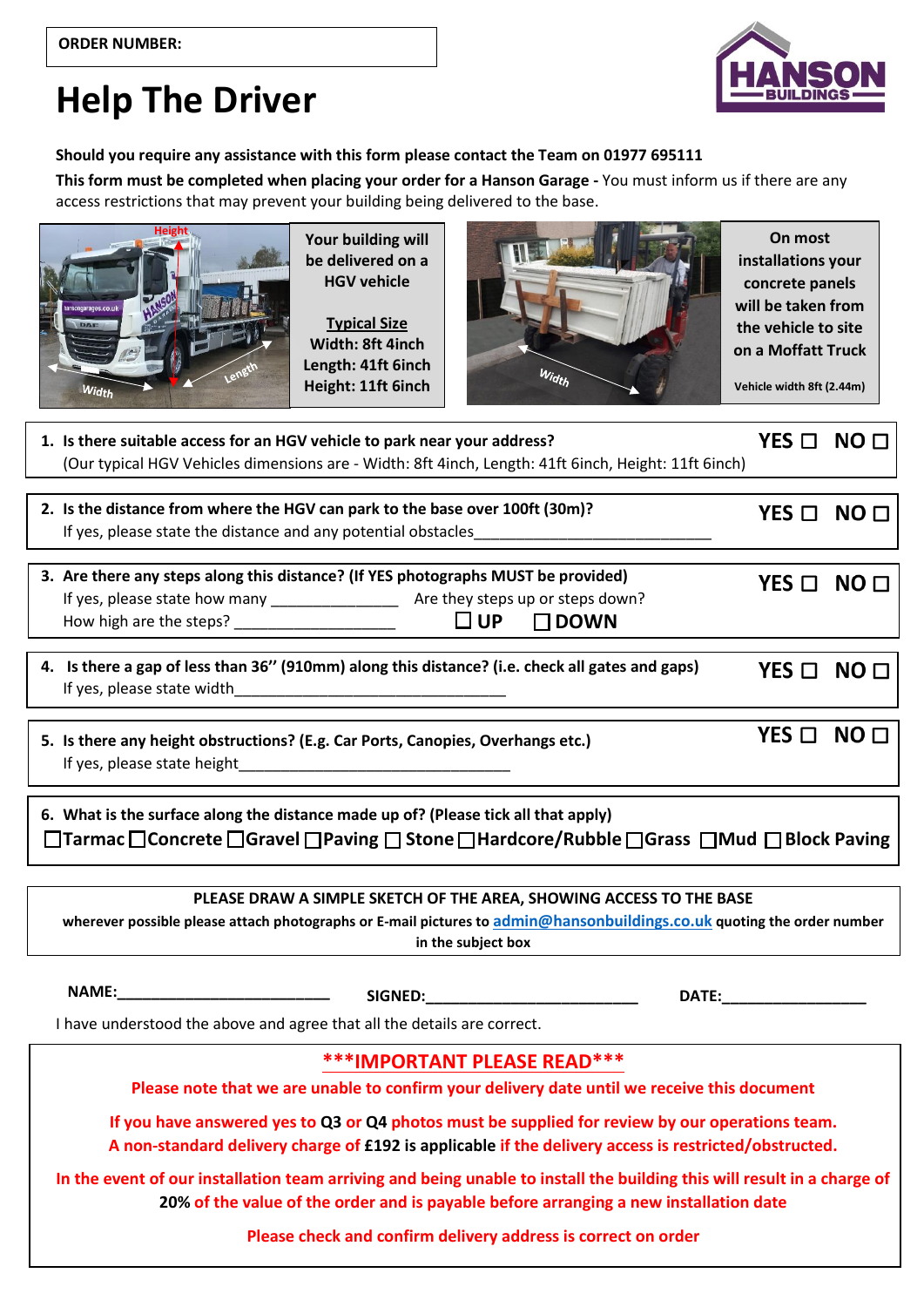## **Help The Driver**

## **Should you require any assistance with this form please contact the Team on 01977 695111**

**This form must be completed when placing your order for a Hanson Garage -** You must inform us if there are any access restrictions that may prevent your building being delivered to the base.



**Your building will be delivered on a HGV vehicle**

**Typical Size Width: 8ft 4inch Length: 41ft 6inch Height: 11ft 6inch**



**On most installations your concrete panels will be taken from the vehicle to site on a Moffatt Truck**

**Vehicle width 8ft (2.44m)**

┓

 $\overline{a}$ 

|                                                                         | 1. Is there suitable access for an HGV vehicle to park near your address?<br>(Our typical HGV Vehicles dimensions are - Width: 8ft 4inch, Length: 41ft 6inch, Height: 11ft 6inch)                                   | $YES \Box NO \Box$ |  |
|-------------------------------------------------------------------------|---------------------------------------------------------------------------------------------------------------------------------------------------------------------------------------------------------------------|--------------------|--|
| If yes, please state the distance and any potential obstacles           | 2. Is the distance from where the HGV can park to the base over 100ft (30m)?                                                                                                                                        | $YES \Box NO \Box$ |  |
|                                                                         | 3. Are there any steps along this distance? (If YES photographs MUST be provided)<br>$\square$ DOWN                                                                                                                 | $YES \Box NO \Box$ |  |
|                                                                         | 4. Is there a gap of less than 36" (910mm) along this distance? (i.e. check all gates and gaps)                                                                                                                     | $YES \Box NO \Box$ |  |
|                                                                         | 5. Is there any height obstructions? (E.g. Car Ports, Canopies, Overhangs etc.)                                                                                                                                     | $YES \Box NO \Box$ |  |
|                                                                         | 6. What is the surface along the distance made up of? (Please tick all that apply)<br>□Tarmac□Concrete□Gravel□Paving□Stone□Hardcore/Rubble□Grass □Mud □Block Paving                                                 |                    |  |
|                                                                         |                                                                                                                                                                                                                     |                    |  |
|                                                                         | PLEASE DRAW A SIMPLE SKETCH OF THE AREA, SHOWING ACCESS TO THE BASE<br>wherever possible please attach photographs or E-mail pictures to admin@hansonbuildings.co.uk quoting the order number<br>in the subject box |                    |  |
|                                                                         | <b>DATE:</b>                                                                                                                                                                                                        |                    |  |
| I have understood the above and agree that all the details are correct. |                                                                                                                                                                                                                     |                    |  |
|                                                                         | <b>***IMPORTANT PLEASE READ***</b>                                                                                                                                                                                  |                    |  |
|                                                                         | Please note that we are unable to confirm your delivery date until we receive this document                                                                                                                         |                    |  |
|                                                                         | If you have answered yes to Q3 or Q4 photos must be supplied for review by our operations team.<br>A non-standard delivery charge of £192 is applicable if the delivery access is restricted/obstructed.            |                    |  |
|                                                                         | In the event of our installation team arriving and being unable to install the building this will result in a charge of<br>20% of the value of the order and is payable before arranging a new installation date    |                    |  |
|                                                                         | Please check and confirm delivery address is correct on order                                                                                                                                                       |                    |  |